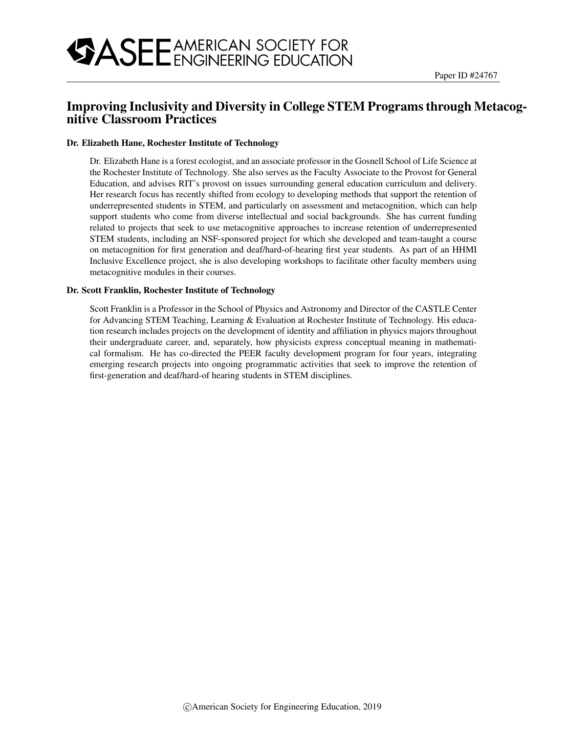# Improving Inclusivity and Diversity in College STEM Programs through Metacognitive Classroom Practices

#### Dr. Elizabeth Hane, Rochester Institute of Technology

Dr. Elizabeth Hane is a forest ecologist, and an associate professor in the Gosnell School of Life Science at the Rochester Institute of Technology. She also serves as the Faculty Associate to the Provost for General Education, and advises RIT's provost on issues surrounding general education curriculum and delivery. Her research focus has recently shifted from ecology to developing methods that support the retention of underrepresented students in STEM, and particularly on assessment and metacognition, which can help support students who come from diverse intellectual and social backgrounds. She has current funding related to projects that seek to use metacognitive approaches to increase retention of underrepresented STEM students, including an NSF-sponsored project for which she developed and team-taught a course on metacognition for first generation and deaf/hard-of-hearing first year students. As part of an HHMI Inclusive Excellence project, she is also developing workshops to facilitate other faculty members using metacognitive modules in their courses.

#### Dr. Scott Franklin, Rochester Institute of Technology

Scott Franklin is a Professor in the School of Physics and Astronomy and Director of the CASTLE Center for Advancing STEM Teaching, Learning & Evaluation at Rochester Institute of Technology. His education research includes projects on the development of identity and affiliation in physics majors throughout their undergraduate career, and, separately, how physicists express conceptual meaning in mathematical formalism. He has co-directed the PEER faculty development program for four years, integrating emerging research projects into ongoing programmatic activities that seek to improve the retention of first-generation and deaf/hard-of hearing students in STEM disciplines.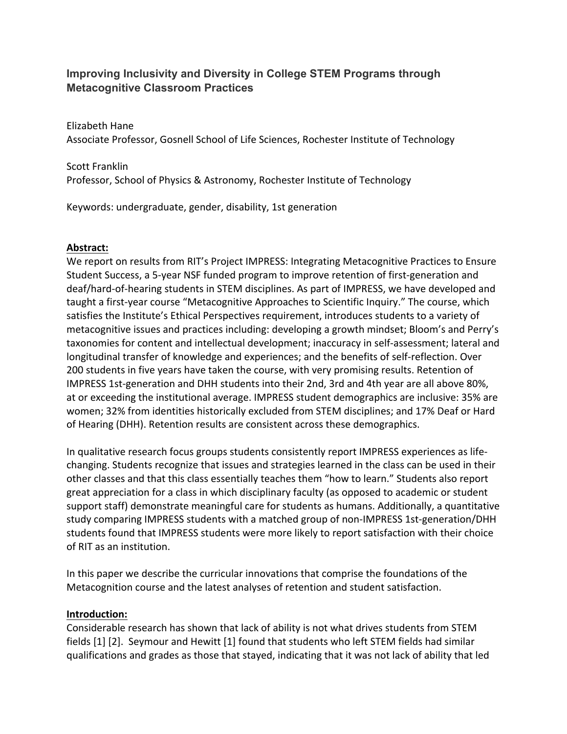# **Improving Inclusivity and Diversity in College STEM Programs through Metacognitive Classroom Practices**

Elizabeth Hane Associate Professor, Gosnell School of Life Sciences, Rochester Institute of Technology

Scott Franklin Professor, School of Physics & Astronomy, Rochester Institute of Technology

Keywords: undergraduate, gender, disability, 1st generation

### **Abstract:**

We report on results from RIT's Project IMPRESS: Integrating Metacognitive Practices to Ensure Student Success, a 5-year NSF funded program to improve retention of first-generation and deaf/hard-of-hearing students in STEM disciplines. As part of IMPRESS, we have developed and taught a first-year course "Metacognitive Approaches to Scientific Inquiry." The course, which satisfies the Institute's Ethical Perspectives requirement, introduces students to a variety of metacognitive issues and practices including: developing a growth mindset; Bloom's and Perry's taxonomies for content and intellectual development; inaccuracy in self-assessment; lateral and longitudinal transfer of knowledge and experiences; and the benefits of self-reflection. Over 200 students in five years have taken the course, with very promising results. Retention of IMPRESS 1st-generation and DHH students into their 2nd, 3rd and 4th year are all above 80%, at or exceeding the institutional average. IMPRESS student demographics are inclusive: 35% are women; 32% from identities historically excluded from STEM disciplines; and 17% Deaf or Hard of Hearing (DHH). Retention results are consistent across these demographics.

In qualitative research focus groups students consistently report IMPRESS experiences as lifechanging. Students recognize that issues and strategies learned in the class can be used in their other classes and that this class essentially teaches them "how to learn." Students also report great appreciation for a class in which disciplinary faculty (as opposed to academic or student support staff) demonstrate meaningful care for students as humans. Additionally, a quantitative study comparing IMPRESS students with a matched group of non-IMPRESS 1st-generation/DHH students found that IMPRESS students were more likely to report satisfaction with their choice of RIT as an institution.

In this paper we describe the curricular innovations that comprise the foundations of the Metacognition course and the latest analyses of retention and student satisfaction.

#### **Introduction:**

Considerable research has shown that lack of ability is not what drives students from STEM fields [1] [2]. Seymour and Hewitt [1] found that students who left STEM fields had similar qualifications and grades as those that stayed, indicating that it was not lack of ability that led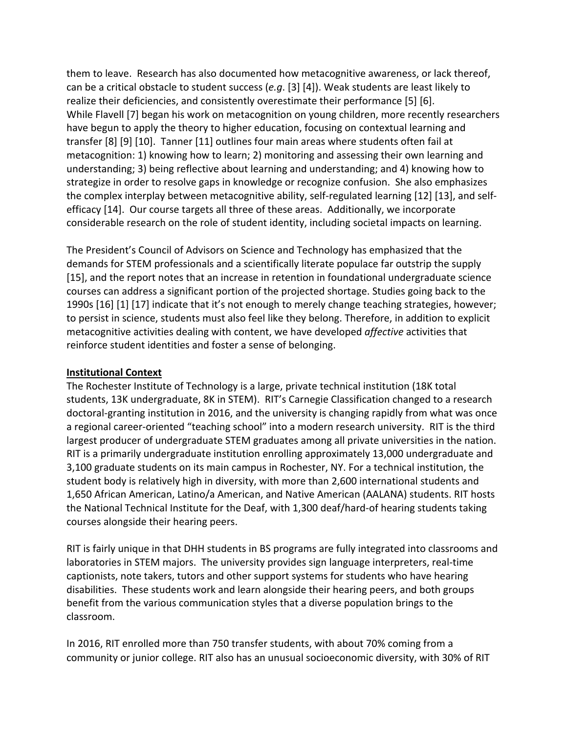them to leave. Research has also documented how metacognitive awareness, or lack thereof, can be a critical obstacle to student success (*e.g*. [3] [4]). Weak students are least likely to realize their deficiencies, and consistently overestimate their performance [5] [6]. While Flavell [7] began his work on metacognition on young children, more recently researchers have begun to apply the theory to higher education, focusing on contextual learning and transfer [8] [9] [10]. Tanner [11] outlines four main areas where students often fail at metacognition: 1) knowing how to learn; 2) monitoring and assessing their own learning and understanding; 3) being reflective about learning and understanding; and 4) knowing how to strategize in order to resolve gaps in knowledge or recognize confusion. She also emphasizes the complex interplay between metacognitive ability, self-regulated learning [12] [13], and selfefficacy [14]. Our course targets all three of these areas. Additionally, we incorporate considerable research on the role of student identity, including societal impacts on learning.

The President's Council of Advisors on Science and Technology has emphasized that the demands for STEM professionals and a scientifically literate populace far outstrip the supply [15], and the report notes that an increase in retention in foundational undergraduate science courses can address a significant portion of the projected shortage. Studies going back to the 1990s [16] [1] [17] indicate that it's not enough to merely change teaching strategies, however; to persist in science, students must also feel like they belong. Therefore, in addition to explicit metacognitive activities dealing with content, we have developed *affective* activities that reinforce student identities and foster a sense of belonging.

#### **Institutional Context**

The Rochester Institute of Technology is a large, private technical institution (18K total students, 13K undergraduate, 8K in STEM). RIT's Carnegie Classification changed to a research doctoral-granting institution in 2016, and the university is changing rapidly from what was once a regional career-oriented "teaching school" into a modern research university. RIT is the third largest producer of undergraduate STEM graduates among all private universities in the nation. RIT is a primarily undergraduate institution enrolling approximately 13,000 undergraduate and 3,100 graduate students on its main campus in Rochester, NY. For a technical institution, the student body is relatively high in diversity, with more than 2,600 international students and 1,650 African American, Latino/a American, and Native American (AALANA) students. RIT hosts the National Technical Institute for the Deaf, with 1,300 deaf/hard-of hearing students taking courses alongside their hearing peers.

RIT is fairly unique in that DHH students in BS programs are fully integrated into classrooms and laboratories in STEM majors. The university provides sign language interpreters, real-time captionists, note takers, tutors and other support systems for students who have hearing disabilities. These students work and learn alongside their hearing peers, and both groups benefit from the various communication styles that a diverse population brings to the classroom.

In 2016, RIT enrolled more than 750 transfer students, with about 70% coming from a community or junior college. RIT also has an unusual socioeconomic diversity, with 30% of RIT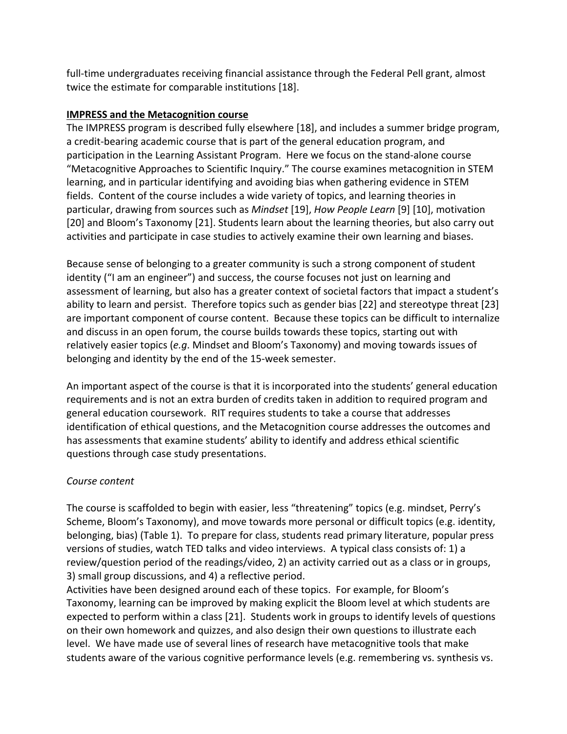full-time undergraduates receiving financial assistance through the Federal Pell grant, almost twice the estimate for comparable institutions [18].

## **IMPRESS and the Metacognition course**

The IMPRESS program is described fully elsewhere [18], and includes a summer bridge program, a credit-bearing academic course that is part of the general education program, and participation in the Learning Assistant Program. Here we focus on the stand-alone course "Metacognitive Approaches to Scientific Inquiry." The course examines metacognition in STEM learning, and in particular identifying and avoiding bias when gathering evidence in STEM fields. Content of the course includes a wide variety of topics, and learning theories in particular, drawing from sources such as *Mindset* [19], *How People Learn* [9] [10], motivation [20] and Bloom's Taxonomy [21]. Students learn about the learning theories, but also carry out activities and participate in case studies to actively examine their own learning and biases.

Because sense of belonging to a greater community is such a strong component of student identity ("I am an engineer") and success, the course focuses not just on learning and assessment of learning, but also has a greater context of societal factors that impact a student's ability to learn and persist. Therefore topics such as gender bias [22] and stereotype threat [23] are important component of course content. Because these topics can be difficult to internalize and discuss in an open forum, the course builds towards these topics, starting out with relatively easier topics (*e.g*. Mindset and Bloom's Taxonomy) and moving towards issues of belonging and identity by the end of the 15-week semester.

An important aspect of the course is that it is incorporated into the students' general education requirements and is not an extra burden of credits taken in addition to required program and general education coursework. RIT requires students to take a course that addresses identification of ethical questions, and the Metacognition course addresses the outcomes and has assessments that examine students' ability to identify and address ethical scientific questions through case study presentations.

# *Course content*

The course is scaffolded to begin with easier, less "threatening" topics (e.g. mindset, Perry's Scheme, Bloom's Taxonomy), and move towards more personal or difficult topics (e.g. identity, belonging, bias) (Table 1). To prepare for class, students read primary literature, popular press versions of studies, watch TED talks and video interviews. A typical class consists of: 1) a review/question period of the readings/video, 2) an activity carried out as a class or in groups, 3) small group discussions, and 4) a reflective period.

Activities have been designed around each of these topics. For example, for Bloom's Taxonomy, learning can be improved by making explicit the Bloom level at which students are expected to perform within a class [21]. Students work in groups to identify levels of questions on their own homework and quizzes, and also design their own questions to illustrate each level. We have made use of several lines of research have metacognitive tools that make students aware of the various cognitive performance levels (e.g. remembering vs. synthesis vs.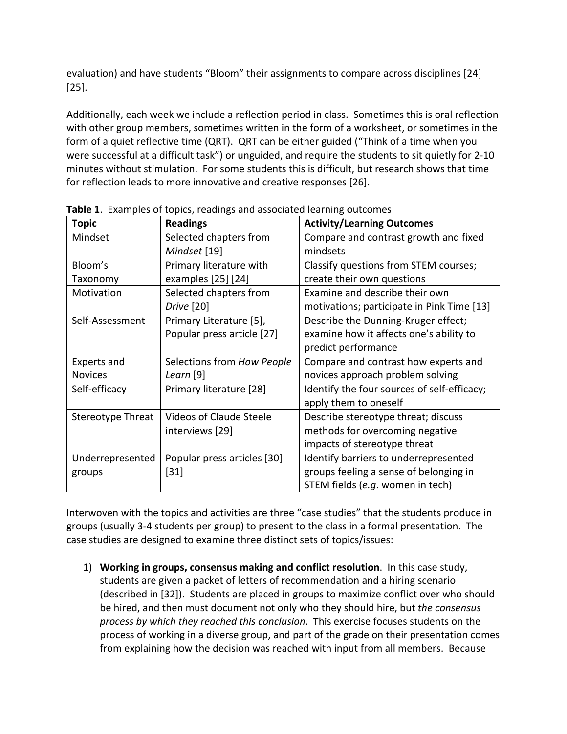evaluation) and have students "Bloom" their assignments to compare across disciplines [24] [25].

Additionally, each week we include a reflection period in class. Sometimes this is oral reflection with other group members, sometimes written in the form of a worksheet, or sometimes in the form of a quiet reflective time (QRT). QRT can be either guided ("Think of a time when you were successful at a difficult task") or unguided, and require the students to sit quietly for 2-10 minutes without stimulation. For some students this is difficult, but research shows that time for reflection leads to more innovative and creative responses [26].

| <b>Topic</b>       | <b>Readings</b>                | <b>Activity/Learning Outcomes</b>           |
|--------------------|--------------------------------|---------------------------------------------|
| Mindset            | Selected chapters from         | Compare and contrast growth and fixed       |
|                    | Mindset [19]                   | mindsets                                    |
| Bloom's            | Primary literature with        | Classify questions from STEM courses;       |
| Taxonomy           | examples [25] [24]             | create their own questions                  |
| Motivation         | Selected chapters from         | Examine and describe their own              |
|                    | Drive [20]                     | motivations; participate in Pink Time [13]  |
| Self-Assessment    | Primary Literature [5],        | Describe the Dunning-Kruger effect;         |
|                    | Popular press article [27]     | examine how it affects one's ability to     |
|                    |                                | predict performance                         |
| <b>Experts and</b> | Selections from How People     | Compare and contrast how experts and        |
| <b>Novices</b>     | Learn <sup>[9]</sup>           | novices approach problem solving            |
| Self-efficacy      | Primary literature [28]        | Identify the four sources of self-efficacy; |
|                    |                                | apply them to oneself                       |
| Stereotype Threat  | <b>Videos of Claude Steele</b> | Describe stereotype threat; discuss         |
|                    | interviews [29]                | methods for overcoming negative             |
|                    |                                | impacts of stereotype threat                |
| Underrepresented   | Popular press articles [30]    | Identify barriers to underrepresented       |
| groups             | $[31]$                         | groups feeling a sense of belonging in      |
|                    |                                | STEM fields (e.g. women in tech)            |

**Table 1**. Examples of topics, readings and associated learning outcomes

Interwoven with the topics and activities are three "case studies" that the students produce in groups (usually 3-4 students per group) to present to the class in a formal presentation. The case studies are designed to examine three distinct sets of topics/issues:

1) **Working in groups, consensus making and conflict resolution**. In this case study, students are given a packet of letters of recommendation and a hiring scenario (described in [32]). Students are placed in groups to maximize conflict over who should be hired, and then must document not only who they should hire, but *the consensus process by which they reached this conclusion*. This exercise focuses students on the process of working in a diverse group, and part of the grade on their presentation comes from explaining how the decision was reached with input from all members. Because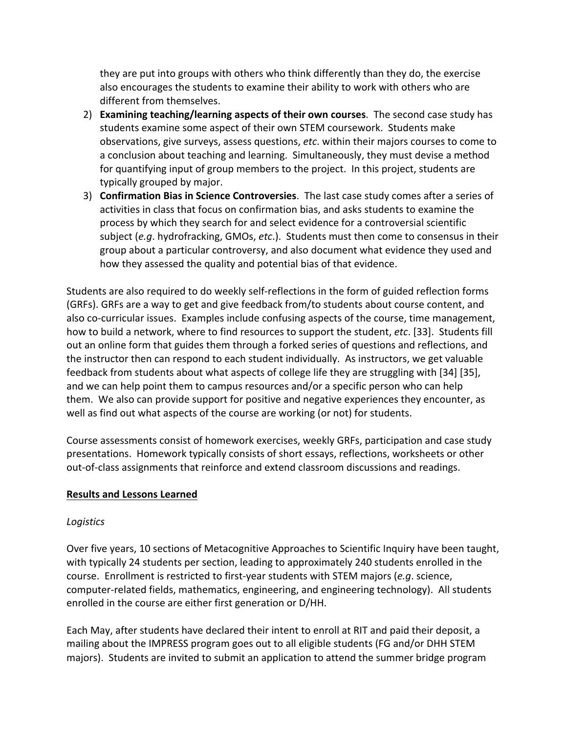they are put into groups with others who think differently than they do, the exercise also encourages the students to examine their ability to work with others who are different from themselves.

- 2) **Examining teaching/learning aspects of their own courses**. The second case study has students examine some aspect of their own STEM coursework. Students make observations, give surveys, assess questions, *etc*. within their majors courses to come to a conclusion about teaching and learning. Simultaneously, they must devise a method for quantifying input of group members to the project. In this project, students are typically grouped by major.
- 3) **Confirmation Bias in Science Controversies**. The last case study comes after a series of activities in class that focus on confirmation bias, and asks students to examine the process by which they search for and select evidence for a controversial scientific subject (*e.g*. hydrofracking, GMOs, *etc*.). Students must then come to consensus in their group about a particular controversy, and also document what evidence they used and how they assessed the quality and potential bias of that evidence.

Students are also required to do weekly self-reflections in the form of guided reflection forms (GRFs). GRFs are a way to get and give feedback from/to students about course content, and also co-curricular issues. Examples include confusing aspects of the course, time management, how to build a network, where to find resources to support the student, *etc*. [33]. Students fill out an online form that guides them through a forked series of questions and reflections, and the instructor then can respond to each student individually. As instructors, we get valuable feedback from students about what aspects of college life they are struggling with [34] [35], and we can help point them to campus resources and/or a specific person who can help them. We also can provide support for positive and negative experiences they encounter, as well as find out what aspects of the course are working (or not) for students.

Course assessments consist of homework exercises, weekly GRFs, participation and case study presentations. Homework typically consists of short essays, reflections, worksheets or other out-of-class assignments that reinforce and extend classroom discussions and readings.

# **Results and Lessons Learned**

#### *Logistics*

Over five years, 10 sections of Metacognitive Approaches to Scientific Inquiry have been taught, with typically 24 students per section, leading to approximately 240 students enrolled in the course. Enrollment is restricted to first-year students with STEM majors (*e.g*. science, computer-related fields, mathematics, engineering, and engineering technology). All students enrolled in the course are either first generation or D/HH.

Each May, after students have declared their intent to enroll at RIT and paid their deposit, a mailing about the IMPRESS program goes out to all eligible students (FG and/or DHH STEM majors). Students are invited to submit an application to attend the summer bridge program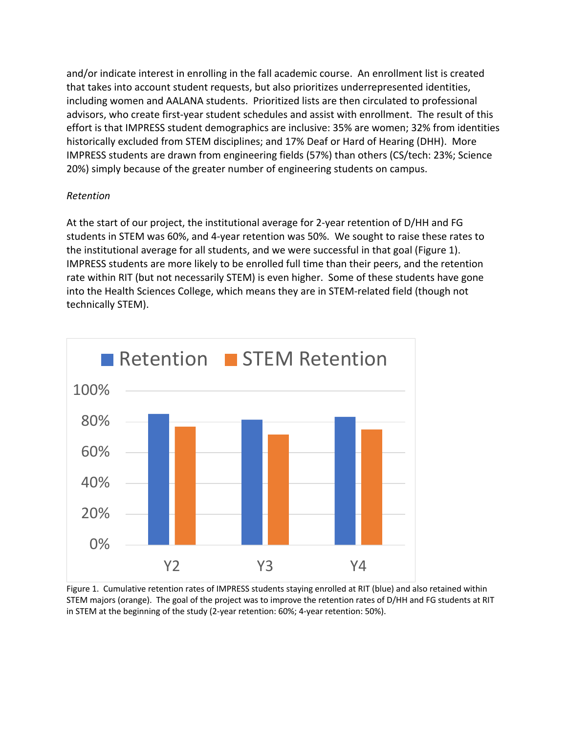and/or indicate interest in enrolling in the fall academic course. An enrollment list is created that takes into account student requests, but also prioritizes underrepresented identities, including women and AALANA students. Prioritized lists are then circulated to professional advisors, who create first-year student schedules and assist with enrollment. The result of this effort is that IMPRESS student demographics are inclusive: 35% are women; 32% from identities historically excluded from STEM disciplines; and 17% Deaf or Hard of Hearing (DHH). More IMPRESS students are drawn from engineering fields (57%) than others (CS/tech: 23%; Science 20%) simply because of the greater number of engineering students on campus.

# *Retention*

At the start of our project, the institutional average for 2-year retention of D/HH and FG students in STEM was 60%, and 4-year retention was 50%. We sought to raise these rates to the institutional average for all students, and we were successful in that goal (Figure 1). IMPRESS students are more likely to be enrolled full time than their peers, and the retention rate within RIT (but not necessarily STEM) is even higher. Some of these students have gone into the Health Sciences College, which means they are in STEM-related field (though not technically STEM).



Figure 1. Cumulative retention rates of IMPRESS students staying enrolled at RIT (blue) and also retained within STEM majors (orange). The goal of the project was to improve the retention rates of D/HH and FG students at RIT in STEM at the beginning of the study (2-year retention: 60%; 4-year retention: 50%).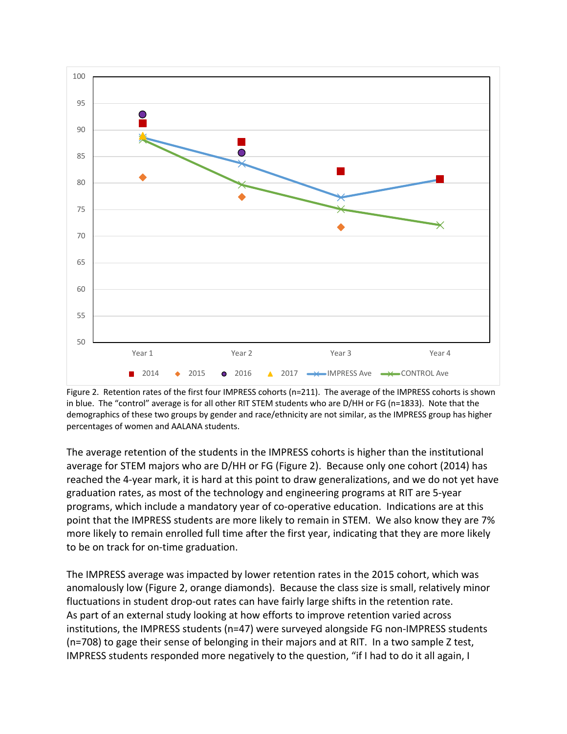

Figure 2. Retention rates of the first four IMPRESS cohorts (n=211). The average of the IMPRESS cohorts is shown in blue. The "control" average is for all other RIT STEM students who are D/HH or FG (n=1833). Note that the demographics of these two groups by gender and race/ethnicity are not similar, as the IMPRESS group has higher percentages of women and AALANA students.

The average retention of the students in the IMPRESS cohorts is higher than the institutional average for STEM majors who are D/HH or FG (Figure 2). Because only one cohort (2014) has reached the 4-year mark, it is hard at this point to draw generalizations, and we do not yet have graduation rates, as most of the technology and engineering programs at RIT are 5-year programs, which include a mandatory year of co-operative education. Indications are at this point that the IMPRESS students are more likely to remain in STEM. We also know they are 7% more likely to remain enrolled full time after the first year, indicating that they are more likely to be on track for on-time graduation.

The IMPRESS average was impacted by lower retention rates in the 2015 cohort, which was anomalously low (Figure 2, orange diamonds). Because the class size is small, relatively minor fluctuations in student drop-out rates can have fairly large shifts in the retention rate. As part of an external study looking at how efforts to improve retention varied across institutions, the IMPRESS students (n=47) were surveyed alongside FG non-IMPRESS students (n=708) to gage their sense of belonging in their majors and at RIT. In a two sample Z test, IMPRESS students responded more negatively to the question, "if I had to do it all again, I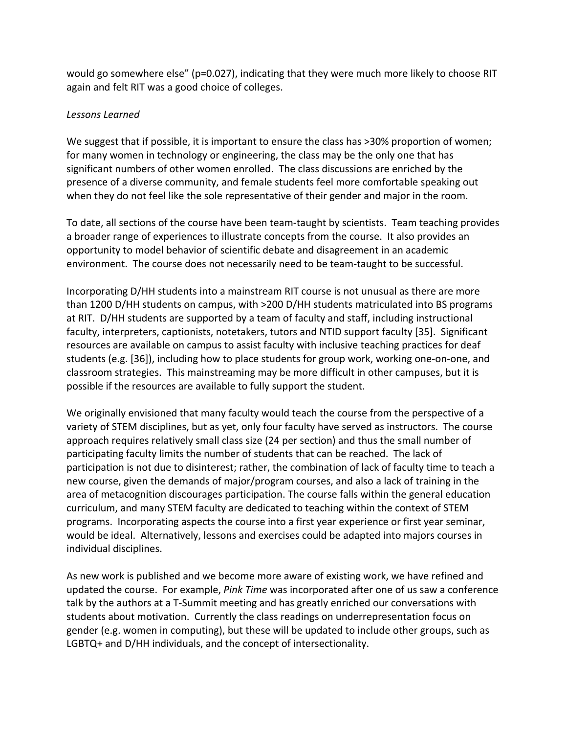would go somewhere else" (p=0.027), indicating that they were much more likely to choose RIT again and felt RIT was a good choice of colleges.

### *Lessons Learned*

We suggest that if possible, it is important to ensure the class has >30% proportion of women; for many women in technology or engineering, the class may be the only one that has significant numbers of other women enrolled. The class discussions are enriched by the presence of a diverse community, and female students feel more comfortable speaking out when they do not feel like the sole representative of their gender and major in the room.

To date, all sections of the course have been team-taught by scientists. Team teaching provides a broader range of experiences to illustrate concepts from the course. It also provides an opportunity to model behavior of scientific debate and disagreement in an academic environment. The course does not necessarily need to be team-taught to be successful.

Incorporating D/HH students into a mainstream RIT course is not unusual as there are more than 1200 D/HH students on campus, with >200 D/HH students matriculated into BS programs at RIT. D/HH students are supported by a team of faculty and staff, including instructional faculty, interpreters, captionists, notetakers, tutors and NTID support faculty [35]. Significant resources are available on campus to assist faculty with inclusive teaching practices for deaf students (e.g. [36]), including how to place students for group work, working one-on-one, and classroom strategies. This mainstreaming may be more difficult in other campuses, but it is possible if the resources are available to fully support the student.

We originally envisioned that many faculty would teach the course from the perspective of a variety of STEM disciplines, but as yet, only four faculty have served as instructors. The course approach requires relatively small class size (24 per section) and thus the small number of participating faculty limits the number of students that can be reached. The lack of participation is not due to disinterest; rather, the combination of lack of faculty time to teach a new course, given the demands of major/program courses, and also a lack of training in the area of metacognition discourages participation. The course falls within the general education curriculum, and many STEM faculty are dedicated to teaching within the context of STEM programs. Incorporating aspects the course into a first year experience or first year seminar, would be ideal. Alternatively, lessons and exercises could be adapted into majors courses in individual disciplines.

As new work is published and we become more aware of existing work, we have refined and updated the course. For example, *Pink Time* was incorporated after one of us saw a conference talk by the authors at a T-Summit meeting and has greatly enriched our conversations with students about motivation. Currently the class readings on underrepresentation focus on gender (e.g. women in computing), but these will be updated to include other groups, such as LGBTQ+ and D/HH individuals, and the concept of intersectionality.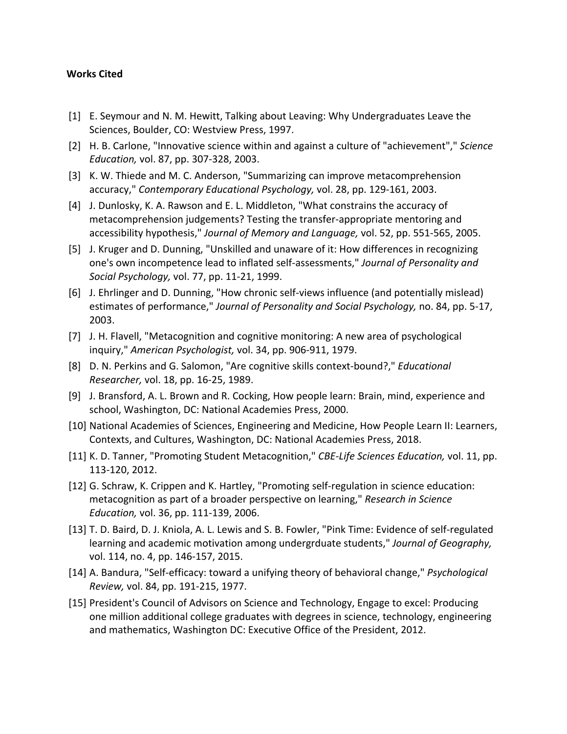#### **Works Cited**

- [1] E. Seymour and N. M. Hewitt, Talking about Leaving: Why Undergraduates Leave the Sciences, Boulder, CO: Westview Press, 1997.
- [2] H. B. Carlone, "Innovative science within and against a culture of "achievement"," *Science Education,* vol. 87, pp. 307-328, 2003.
- [3] K. W. Thiede and M. C. Anderson, "Summarizing can improve metacomprehension accuracy," *Contemporary Educational Psychology,* vol. 28, pp. 129-161, 2003.
- [4] J. Dunlosky, K. A. Rawson and E. L. Middleton, "What constrains the accuracy of metacomprehension judgements? Testing the transfer-appropriate mentoring and accessibility hypothesis," *Journal of Memory and Language,* vol. 52, pp. 551-565, 2005.
- [5] J. Kruger and D. Dunning, "Unskilled and unaware of it: How differences in recognizing one's own incompetence lead to inflated self-assessments," *Journal of Personality and Social Psychology,* vol. 77, pp. 11-21, 1999.
- [6] J. Ehrlinger and D. Dunning, "How chronic self-views influence (and potentially mislead) estimates of performance," *Journal of Personality and Social Psychology,* no. 84, pp. 5-17, 2003.
- [7] J. H. Flavell, "Metacognition and cognitive monitoring: A new area of psychological inquiry," *American Psychologist,* vol. 34, pp. 906-911, 1979.
- [8] D. N. Perkins and G. Salomon, "Are cognitive skills context-bound?," *Educational Researcher,* vol. 18, pp. 16-25, 1989.
- [9] J. Bransford, A. L. Brown and R. Cocking, How people learn: Brain, mind, experience and school, Washington, DC: National Academies Press, 2000.
- [10] National Academies of Sciences, Engineering and Medicine, How People Learn II: Learners, Contexts, and Cultures, Washington, DC: National Academies Press, 2018.
- [11] K. D. Tanner, "Promoting Student Metacognition," *CBE-Life Sciences Education,* vol. 11, pp. 113-120, 2012.
- [12] G. Schraw, K. Crippen and K. Hartley, "Promoting self-regulation in science education: metacognition as part of a broader perspective on learning," *Research in Science Education,* vol. 36, pp. 111-139, 2006.
- [13] T. D. Baird, D. J. Kniola, A. L. Lewis and S. B. Fowler, "Pink Time: Evidence of self-regulated learning and academic motivation among undergrduate students," *Journal of Geography,*  vol. 114, no. 4, pp. 146-157, 2015.
- [14] A. Bandura, "Self-efficacy: toward a unifying theory of behavioral change," *Psychological Review,* vol. 84, pp. 191-215, 1977.
- [15] President's Council of Advisors on Science and Technology, Engage to excel: Producing one million additional college graduates with degrees in science, technology, engineering and mathematics, Washington DC: Executive Office of the President, 2012.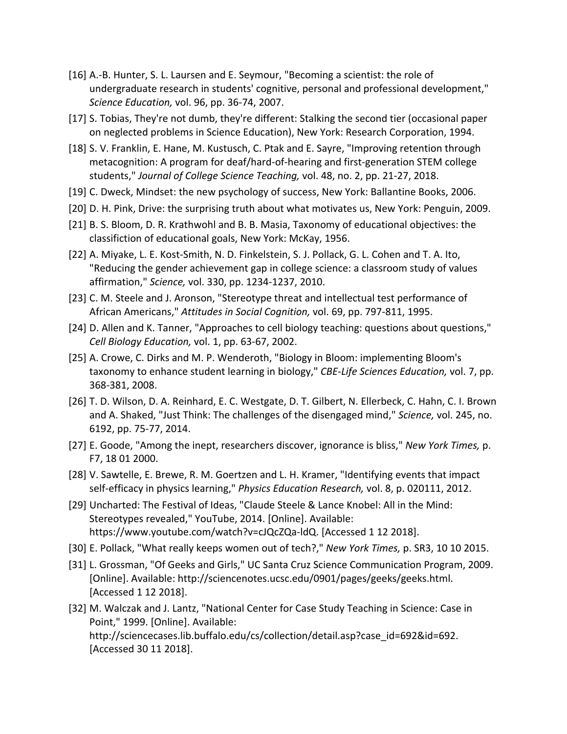- [16] A.-B. Hunter, S. L. Laursen and E. Seymour, "Becoming a scientist: the role of undergraduate research in students' cognitive, personal and professional development," *Science Education,* vol. 96, pp. 36-74, 2007.
- [17] S. Tobias, They're not dumb, they're different: Stalking the second tier (occasional paper on neglected problems in Science Education), New York: Research Corporation, 1994.
- [18] S. V. Franklin, E. Hane, M. Kustusch, C. Ptak and E. Sayre, "Improving retention through metacognition: A program for deaf/hard-of-hearing and first-generation STEM college students," *Journal of College Science Teaching,* vol. 48, no. 2, pp. 21-27, 2018.
- [19] C. Dweck, Mindset: the new psychology of success, New York: Ballantine Books, 2006.
- [20] D. H. Pink, Drive: the surprising truth about what motivates us, New York: Penguin, 2009.
- [21] B. S. Bloom, D. R. Krathwohl and B. B. Masia, Taxonomy of educational objectives: the classifiction of educational goals, New York: McKay, 1956.
- [22] A. Miyake, L. E. Kost-Smith, N. D. Finkelstein, S. J. Pollack, G. L. Cohen and T. A. Ito, "Reducing the gender achievement gap in college science: a classroom study of values affirmation," *Science,* vol. 330, pp. 1234-1237, 2010.
- [23] C. M. Steele and J. Aronson, "Stereotype threat and intellectual test performance of African Americans," *Attitudes in Social Cognition,* vol. 69, pp. 797-811, 1995.
- [24] D. Allen and K. Tanner, "Approaches to cell biology teaching: questions about questions," *Cell Biology Education,* vol. 1, pp. 63-67, 2002.
- [25] A. Crowe, C. Dirks and M. P. Wenderoth, "Biology in Bloom: implementing Bloom's taxonomy to enhance student learning in biology," *CBE-Life Sciences Education,* vol. 7, pp. 368-381, 2008.
- [26] T. D. Wilson, D. A. Reinhard, E. C. Westgate, D. T. Gilbert, N. Ellerbeck, C. Hahn, C. I. Brown and A. Shaked, "Just Think: The challenges of the disengaged mind," *Science,* vol. 245, no. 6192, pp. 75-77, 2014.
- [27] E. Goode, "Among the inept, researchers discover, ignorance is bliss," *New York Times,* p. F7, 18 01 2000.
- [28] V. Sawtelle, E. Brewe, R. M. Goertzen and L. H. Kramer, "Identifying events that impact self-efficacy in physics learning," *Physics Education Research,* vol. 8, p. 020111, 2012.
- [29] Uncharted: The Festival of Ideas, "Claude Steele & Lance Knobel: All in the Mind: Stereotypes revealed," YouTube, 2014. [Online]. Available: https://www.youtube.com/watch?v=cJQcZQa-ldQ. [Accessed 1 12 2018].
- [30] E. Pollack, "What really keeps women out of tech?," *New York Times,* p. SR3, 10 10 2015.
- [31] L. Grossman, "Of Geeks and Girls," UC Santa Cruz Science Communication Program, 2009. [Online]. Available: http://sciencenotes.ucsc.edu/0901/pages/geeks/geeks.html. [Accessed 1 12 2018].
- [32] M. Walczak and J. Lantz, "National Center for Case Study Teaching in Science: Case in Point," 1999. [Online]. Available: http://sciencecases.lib.buffalo.edu/cs/collection/detail.asp?case\_id=692&id=692. [Accessed 30 11 2018].